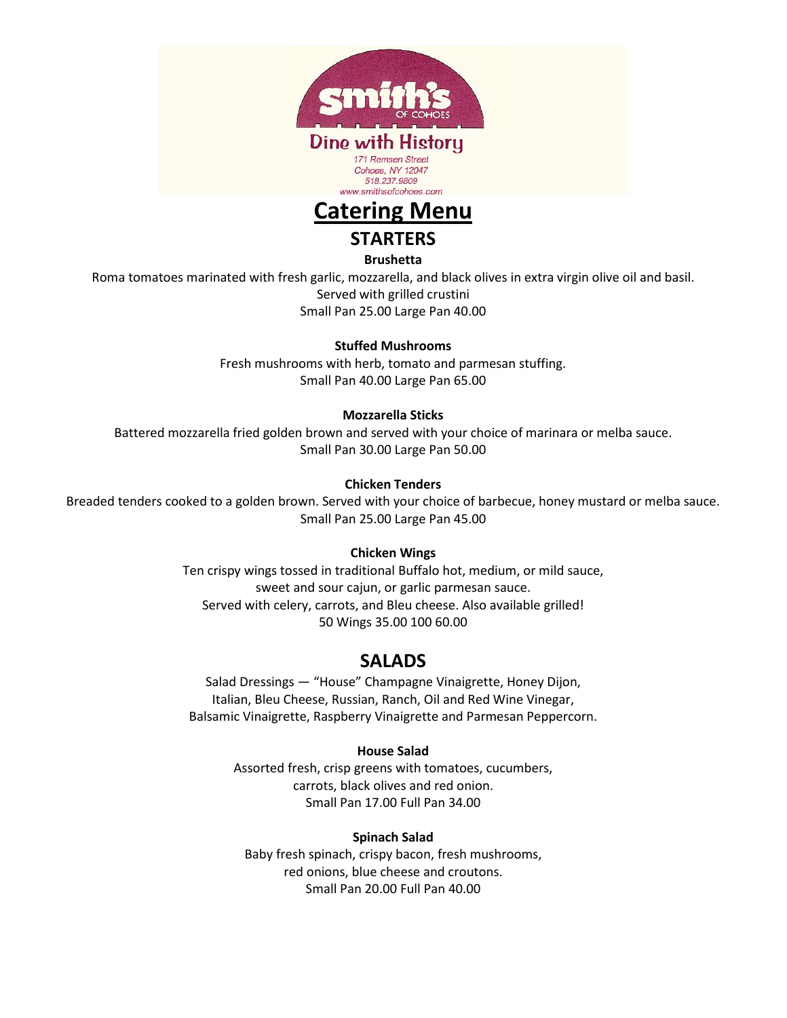

**Catering Menu**

# **STARTERS**

**Brushetta** 

Roma tomatoes marinated with fresh garlic, mozzarella, and black olives in extra virgin olive oil and basil. Served with grilled crustini Small Pan 25.00 Large Pan 40.00

# **Stuffed Mushrooms**

Fresh mushrooms with herb, tomato and parmesan stuffing. Small Pan 40.00 Large Pan 65.00

# **Mozzarella Sticks**

Battered mozzarella fried golden brown and served with your choice of marinara or melba sauce. Small Pan 30.00 Large Pan 50.00

# **Chicken Tenders**

Breaded tenders cooked to a golden brown. Served with your choice of barbecue, honey mustard or melba sauce. Small Pan 25.00 Large Pan 45.00

# **Chicken Wings**

Ten crispy wings tossed in traditional Buffalo hot, medium, or mild sauce, sweet and sour cajun, or garlic parmesan sauce. Served with celery, carrots, and Bleu cheese. Also available grilled! 50 Wings 35.00 100 60.00

# **SALADS**

Salad Dressings — "House" Champagne Vinaigrette, Honey Dijon, Italian, Bleu Cheese, Russian, Ranch, Oil and Red Wine Vinegar, Balsamic Vinaigrette, Raspberry Vinaigrette and Parmesan Peppercorn.

# **House Salad**

Assorted fresh, crisp greens with tomatoes, cucumbers, carrots, black olives and red onion. Small Pan 17.00 Full Pan 34.00

# **Spinach Salad**

Baby fresh spinach, crispy bacon, fresh mushrooms, red onions, blue cheese and croutons. Small Pan 20.00 Full Pan 40.00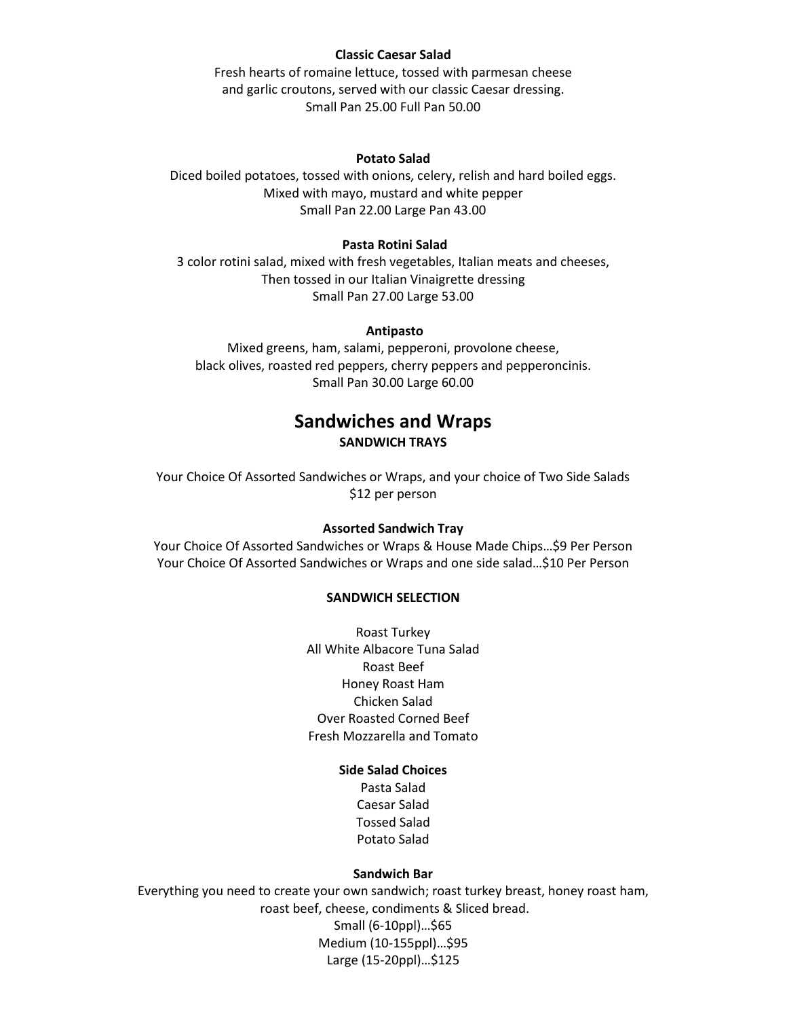### **Classic Caesar Salad**

Fresh hearts of romaine lettuce, tossed with parmesan cheese and garlic croutons, served with our classic Caesar dressing. Small Pan 25.00 Full Pan 50.00

#### **Potato Salad**

Diced boiled potatoes, tossed with onions, celery, relish and hard boiled eggs. Mixed with mayo, mustard and white pepper Small Pan 22.00 Large Pan 43.00

### **Pasta Rotini Salad**

3 color rotini salad, mixed with fresh vegetables, Italian meats and cheeses, Then tossed in our Italian Vinaigrette dressing Small Pan 27.00 Large 53.00

#### **Antipasto**

Mixed greens, ham, salami, pepperoni, provolone cheese, black olives, roasted red peppers, cherry peppers and pepperoncinis. Small Pan 30.00 Large 60.00

# **Sandwiches and Wraps SANDWICH TRAYS**

Your Choice Of Assorted Sandwiches or Wraps, and your choice of Two Side Salads \$12 per person

#### **Assorted Sandwich Tray**

Your Choice Of Assorted Sandwiches or Wraps & House Made Chips…\$9 Per Person Your Choice Of Assorted Sandwiches or Wraps and one side salad…\$10 Per Person

## **SANDWICH SELECTION**

Roast Turkey All White Albacore Tuna Salad Roast Beef Honey Roast Ham Chicken Salad Over Roasted Corned Beef Fresh Mozzarella and Tomato

#### **Side Salad Choices**

Pasta Salad Caesar Salad Tossed Salad Potato Salad

### **Sandwich Bar**

Everything you need to create your own sandwich; roast turkey breast, honey roast ham, roast beef, cheese, condiments & Sliced bread. Small (6-10ppl)…\$65 Medium (10-155ppl)…\$95 Large (15-20ppl)…\$125